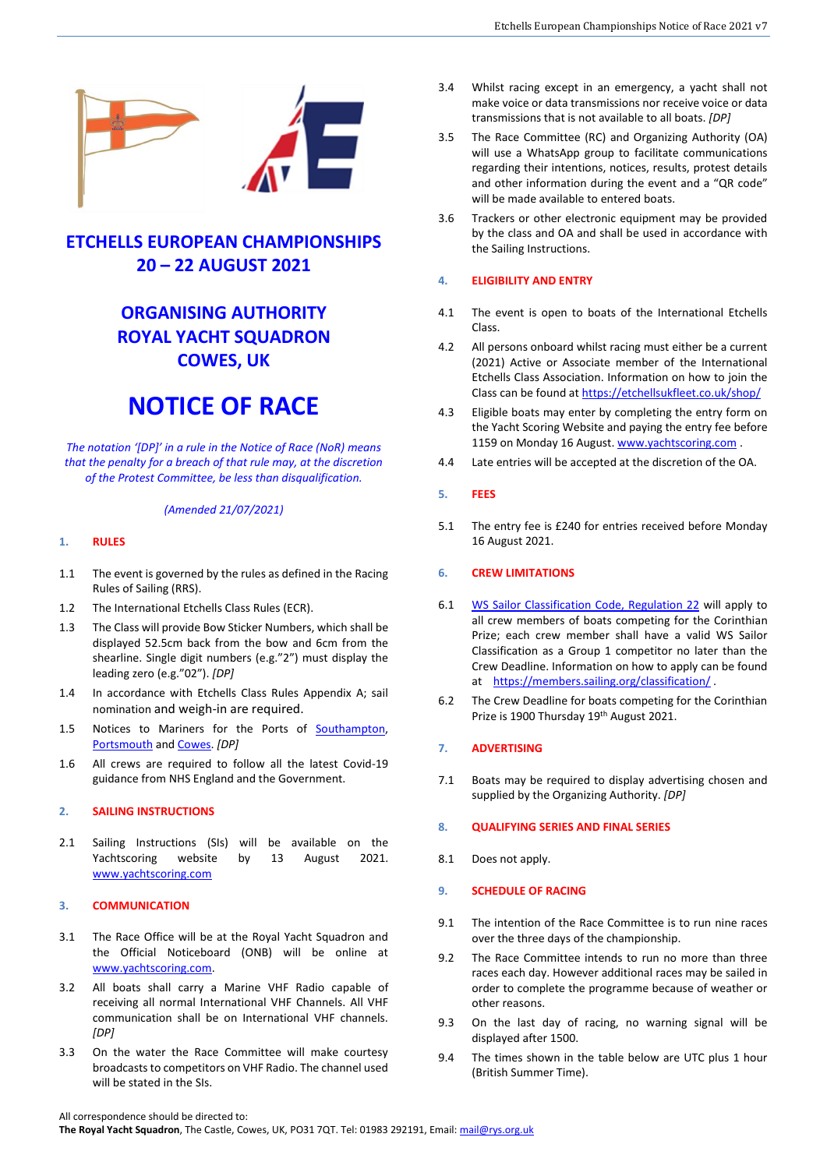

# **ETCHELLS EUROPEAN CHAMPIONSHIPS 20 – 22 AUGUST 2021**

# **ORGANISING AUTHORITY ROYAL YACHT SQUADRON COWES, UK**

# **NOTICE OF RACE**

*The notation '[DP]' in a rule in the Notice of Race (NoR) means that the penalty for a breach of that rule may, at the discretion of the Protest Committee, be less than disqualification.*

# *(Amended 21/07/2021)*

# **1. RULES**

- 1.1 The event is governed by the rules as defined in the Racing Rules of Sailing (RRS).
- 1.2 The International Etchells Class Rules (ECR).
- 1.3 The Class will provide Bow Sticker Numbers, which shall be displayed 52.5cm back from the bow and 6cm from the shearline. Single digit numbers (e.g."2") must display the leading zero (e.g."02"). *[DP]*
- 1.4 In accordance with Etchells Class Rules Appendix A; sail nomination and weigh-in are required.
- 1.5 Notices to Mariners for the Ports of [Southampton,](http://www.southamptonvts.co.uk/Yachting_and_Leisure/Notices_to_Mariners/)  [Portsmouth](https://www.royalnavy.mod.uk/qhm/portsmouth/local-notices) and [Cowes.](https://www.cowesharbourcommission.co.uk/local_notices_to_mariners) *[DP]*
- 1.6 All crews are required to follow all the latest Covid-19 guidance from NHS England and the Government.

# **2. SAILING INSTRUCTIONS**

2.1 Sailing Instructions (SIs) will be available on the Yachtscoring website by 13 August 2021. [www.yachtscoring.com](https://www.yachtscoring.com/select_event.cfm?region=Europe%20-%20UK)

# **3. COMMUNICATION**

- 3.1 The Race Office will be at the Royal Yacht Squadron and the Official Noticeboard (ONB) will be online at [www.yachtscoring.com.](https://www.yachtscoring.com/select_event.cfm?region=Europe%20-%20UK)
- 3.2 All boats shall carry a Marine VHF Radio capable of receiving all normal International VHF Channels. All VHF communication shall be on International VHF channels. *[DP]*
- 3.3 On the water the Race Committee will make courtesy broadcasts to competitors on VHF Radio. The channel used will be stated in the SIs.
- 3.4 Whilst racing except in an emergency, a yacht shall not make voice or data transmissions nor receive voice or data transmissions that is not available to all boats. *[DP]*
- 3.5 The Race Committee (RC) and Organizing Authority (OA) will use a WhatsApp group to facilitate communications regarding their intentions, notices, results, protest details and other information during the event and a "QR code" will be made available to entered boats.
- 3.6 Trackers or other electronic equipment may be provided by the class and OA and shall be used in accordance with the Sailing Instructions.

#### **4. ELIGIBILITY AND ENTRY**

- 4.1 The event is open to boats of the International Etchells Class.
- 4.2 All persons onboard whilst racing must either be a current (2021) Active or Associate member of the International Etchells Class Association. Information on how to join the Class can be found a[t https://etchellsukfleet.co.uk/shop/](https://etchellsukfleet.co.uk/shop/)
- 4.3 Eligible boats may enter by completing the entry form on the Yacht Scoring Website and paying the entry fee before 1159 on Monday 16 August. [www.yachtscoring.com](http://www.yachtscoring.com/).
- 4.4 Late entries will be accepted at the discretion of the OA.

# **5. FEES**

5.1 The entry fee is £240 for entries received before Monday 16 August 2021.

# **6. CREW LIMITATIONS**

- 6.1 [WS Sailor Classification Code, Regulation 22](https://www.sailing.org/tools/documents/2021SailorCategorizationCode-%5b26822%5d.pdf) will apply to all crew members of boats competing for the Corinthian Prize; each crew member shall have a valid WS Sailor Classification as a Group 1 competitor no later than the Crew Deadline. Information on how to apply can be found at <https://members.sailing.org/classification/> .
- 6.2 The Crew Deadline for boats competing for the Corinthian Prize is 1900 Thursday 19<sup>th</sup> August 2021.

#### **7. ADVERTISING**

7.1 Boats may be required to display advertising chosen and supplied by the Organizing Authority. *[DP]*

# **8. QUALIFYING SERIES AND FINAL SERIES**

8.1 Does not apply.

#### **9. SCHEDULE OF RACING**

- 9.1 The intention of the Race Committee is to run nine races over the three days of the championship.
- 9.2 The Race Committee intends to run no more than three races each day. However additional races may be sailed in order to complete the programme because of weather or other reasons.
- 9.3 On the last day of racing, no warning signal will be displayed after 1500.
- 9.4 The times shown in the table below are UTC plus 1 hour (British Summer Time).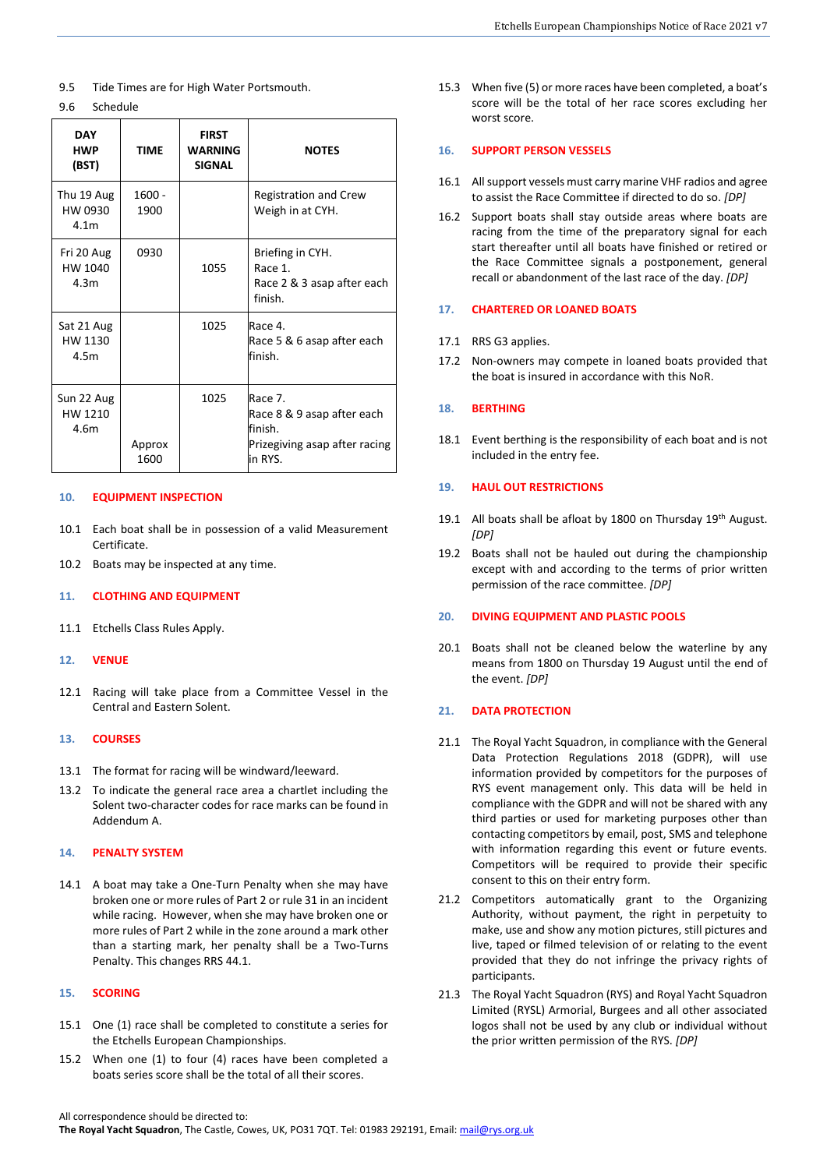- 9.5 Tide Times are for High Water Portsmouth.
- 9.6 Schedule

| <b>DAY</b><br><b>HWP</b><br>(BST)         | TIME             | <b>FIRST</b><br><b>WARNING</b><br><b>SIGNAL</b> | <b>NOTES</b>                                                                                 |
|-------------------------------------------|------------------|-------------------------------------------------|----------------------------------------------------------------------------------------------|
| Thu 19 Aug<br>HW 0930<br>4.1 <sub>m</sub> | $1600 -$<br>1900 |                                                 | <b>Registration and Crew</b><br>Weigh in at CYH.                                             |
| Fri 20 Aug<br>HW 1040<br>4.3m             | 0930             | 1055                                            | Briefing in CYH.<br>Race 1.<br>Race 2 & 3 asap after each<br>finish.                         |
| Sat 21 Aug<br>HW 1130<br>4.5m             |                  | 1025                                            | Race 4.<br>Race 5 & 6 asap after each<br>finish.                                             |
| Sun 22 Aug<br>HW 1210<br>4.6m             | Approx<br>1600   | 1025                                            | Race 7.<br>Race 8 & 9 asap after each<br>finish.<br>Prizegiving asap after racing<br>in RYS. |

#### **10. EQUIPMENT INSPECTION**

- 10.1 Each boat shall be in possession of a valid Measurement Certificate.
- 10.2 Boats may be inspected at any time.

#### **11. CLOTHING AND EQUIPMENT**

- 11.1 Etchells Class Rules Apply.
- **12. VENUE**
- 12.1 Racing will take place from a Committee Vessel in the Central and Eastern Solent.

# **13. COURSES**

- 13.1 The format for racing will be windward/leeward.
- 13.2 To indicate the general race area a chartlet including the Solent two-character codes for race marks can be found in Addendum A.

#### **14. PENALTY SYSTEM**

14.1 A boat may take a One-Turn Penalty when she may have broken one or more rules of Part 2 or rule 31 in an incident while racing. However, when she may have broken one or more rules of Part 2 while in the zone around a mark other than a starting mark, her penalty shall be a Two-Turns Penalty. This changes RRS 44.1.

#### **15. SCORING**

- 15.1 One (1) race shall be completed to constitute a series for the Etchells European Championships.
- 15.2 When one (1) to four (4) races have been completed a boats series score shall be the total of all their scores.

15.3 When five (5) or more races have been completed, a boat's score will be the total of her race scores excluding her worst score.

# **16. SUPPORT PERSON VESSELS**

- 16.1 All support vessels must carry marine VHF radios and agree to assist the Race Committee if directed to do so. *[DP]*
- 16.2 Support boats shall stay outside areas where boats are racing from the time of the preparatory signal for each start thereafter until all boats have finished or retired or the Race Committee signals a postponement, general recall or abandonment of the last race of the day. *[DP]*

# **17. CHARTERED OR LOANED BOATS**

#### 17.1 RRS G3 applies.

17.2 Non-owners may compete in loaned boats provided that the boat is insured in accordance with this NoR.

#### **18. BERTHING**

18.1 Event berthing is the responsibility of each boat and is not included in the entry fee.

#### **19. HAUL OUT RESTRICTIONS**

- 19.1 All boats shall be afloat by 1800 on Thursday 19th August. *[DP]*
- 19.2 Boats shall not be hauled out during the championship except with and according to the terms of prior written permission of the race committee. *[DP]*

# **20. DIVING EQUIPMENT AND PLASTIC POOLS**

20.1 Boats shall not be cleaned below the waterline by any means from 1800 on Thursday 19 August until the end of the event. *[DP]*

# **21. DATA PROTECTION**

- 21.1 The Royal Yacht Squadron, in compliance with the General Data Protection Regulations 2018 (GDPR), will use information provided by competitors for the purposes of RYS event management only. This data will be held in compliance with the GDPR and will not be shared with any third parties or used for marketing purposes other than contacting competitors by email, post, SMS and telephone with information regarding this event or future events. Competitors will be required to provide their specific consent to this on their entry form.
- 21.2 Competitors automatically grant to the Organizing Authority, without payment, the right in perpetuity to make, use and show any motion pictures, still pictures and live, taped or filmed television of or relating to the event provided that they do not infringe the privacy rights of participants.
- 21.3 The Royal Yacht Squadron (RYS) and Royal Yacht Squadron Limited (RYSL) Armorial, Burgees and all other associated logos shall not be used by any club or individual without the prior written permission of the RYS. *[DP]*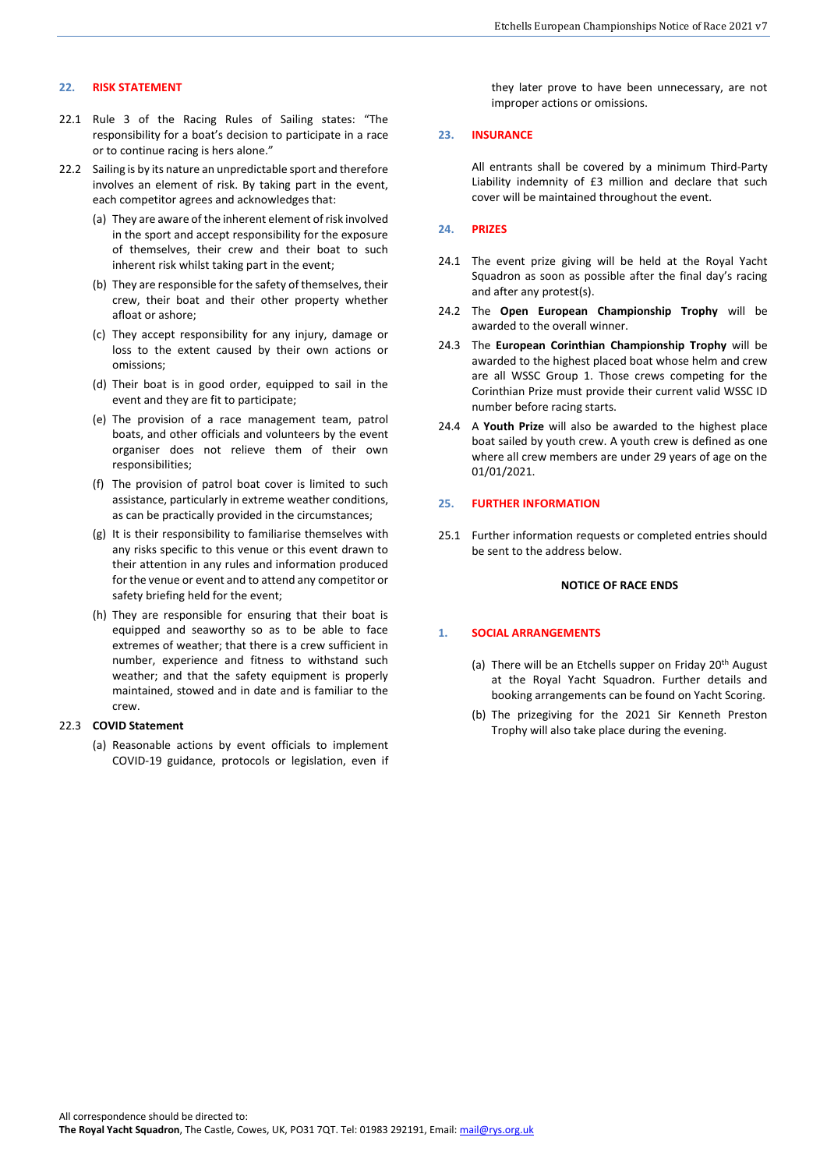# **22. RISK STATEMENT**

- 22.1 Rule 3 of the Racing Rules of Sailing states: "The responsibility for a boat's decision to participate in a race or to continue racing is hers alone."
- 22.2 Sailing is by its nature an unpredictable sport and therefore involves an element of risk. By taking part in the event, each competitor agrees and acknowledges that:
	- (a) They are aware of the inherent element of risk involved in the sport and accept responsibility for the exposure of themselves, their crew and their boat to such inherent risk whilst taking part in the event;
	- (b) They are responsible for the safety of themselves, their crew, their boat and their other property whether afloat or ashore;
	- (c) They accept responsibility for any injury, damage or loss to the extent caused by their own actions or omissions;
	- (d) Their boat is in good order, equipped to sail in the event and they are fit to participate;
	- (e) The provision of a race management team, patrol boats, and other officials and volunteers by the event organiser does not relieve them of their own responsibilities;
	- (f) The provision of patrol boat cover is limited to such assistance, particularly in extreme weather conditions, as can be practically provided in the circumstances;
	- (g) It is their responsibility to familiarise themselves with any risks specific to this venue or this event drawn to their attention in any rules and information produced for the venue or event and to attend any competitor or safety briefing held for the event;
	- (h) They are responsible for ensuring that their boat is equipped and seaworthy so as to be able to face extremes of weather; that there is a crew sufficient in number, experience and fitness to withstand such weather; and that the safety equipment is properly maintained, stowed and in date and is familiar to the crew.

#### 22.3 **COVID Statement**

(a) Reasonable actions by event officials to implement COVID-19 guidance, protocols or legislation, even if they later prove to have been unnecessary, are not improper actions or omissions.

#### **23. INSURANCE**

All entrants shall be covered by a minimum Third-Party Liability indemnity of £3 million and declare that such cover will be maintained throughout the event.

#### **24. PRIZES**

- 24.1 The event prize giving will be held at the Royal Yacht Squadron as soon as possible after the final day's racing and after any protest(s).
- 24.2 The **Open European Championship Trophy** will be awarded to the overall winner.
- 24.3 The **European Corinthian Championship Trophy** will be awarded to the highest placed boat whose helm and crew are all WSSC Group 1. Those crews competing for the Corinthian Prize must provide their current valid WSSC ID number before racing starts.
- 24.4 A **Youth Prize** will also be awarded to the highest place boat sailed by youth crew. A youth crew is defined as one where all crew members are under 29 years of age on the 01/01/2021.

#### **25. FURTHER INFORMATION**

25.1 Further information requests or completed entries should be sent to the address below.

# **NOTICE OF RACE ENDS**

# **1. SOCIAL ARRANGEMENTS**

- (a) There will be an Etchells supper on Friday  $20<sup>th</sup>$  August at the Royal Yacht Squadron. Further details and booking arrangements can be found on Yacht Scoring.
- (b) The prizegiving for the 2021 Sir Kenneth Preston Trophy will also take place during the evening.